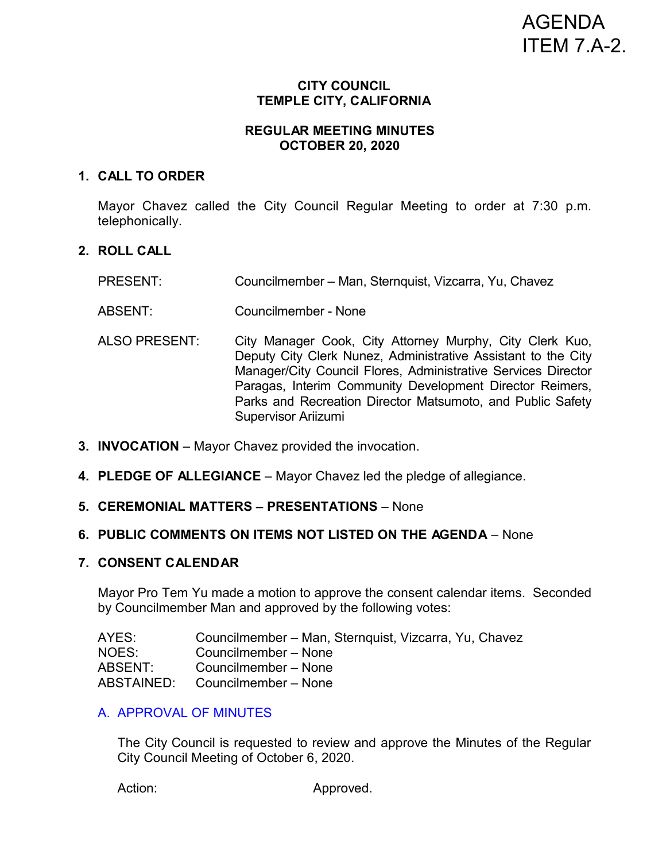# AGENDA ITEM 7.A-2.

## **CITY COUNCIL TEMPLE CITY, CALIFORNIA**

# **REGULAR MEETING MINUTES OCTOBER 20, 2020**

## **1. CALL TO ORDER**

Mayor Chavez called the City Council Regular Meeting to order at 7:30 p.m. telephonically.

# **2. ROLL CALL**

PRESENT: Councilmember – Man, Sternquist, Vizcarra, Yu, Chavez

ABSENT: Councilmember - None

- ALSO PRESENT: City Manager Cook, City Attorney Murphy, City Clerk Kuo, Deputy City Clerk Nunez, Administrative Assistant to the City Manager/City Council Flores, Administrative Services Director Paragas, Interim Community Development Director Reimers, Parks and Recreation Director Matsumoto, and Public Safety Supervisor Ariizumi
- **3. INVOCATION** Mayor Chavez provided the invocation.
- **4. PLEDGE OF ALLEGIANCE** Mayor Chavez led the pledge of allegiance.
- **5. CEREMONIAL MATTERS PRESENTATIONS**  None

#### **6. PUBLIC COMMENTS ON ITEMS NOT LISTED ON THE AGENDA** – None

## **7. CONSENT CALENDAR**

Mayor Pro Tem Yu made a motion to approve the consent calendar items. Seconded by Councilmember Man and approved by the following votes:

| AYES:      | Councilmember – Man, Sternquist, Vizcarra, Yu, Chavez |
|------------|-------------------------------------------------------|
| NOES:      | Councilmember – None                                  |
| ABSENT:    | Councilmember - None                                  |
| ABSTAINED: | Councilmember – None                                  |

## A. [APPROVAL OF MINUTES](https://ca-templecity.civicplus.com/DocumentCenter/View/15210/03-7A_CCM---2020-10-06-Regular)

The City Council is requested to review and approve the Minutes of the Regular City Council Meeting of October 6, 2020.

Action: Approved.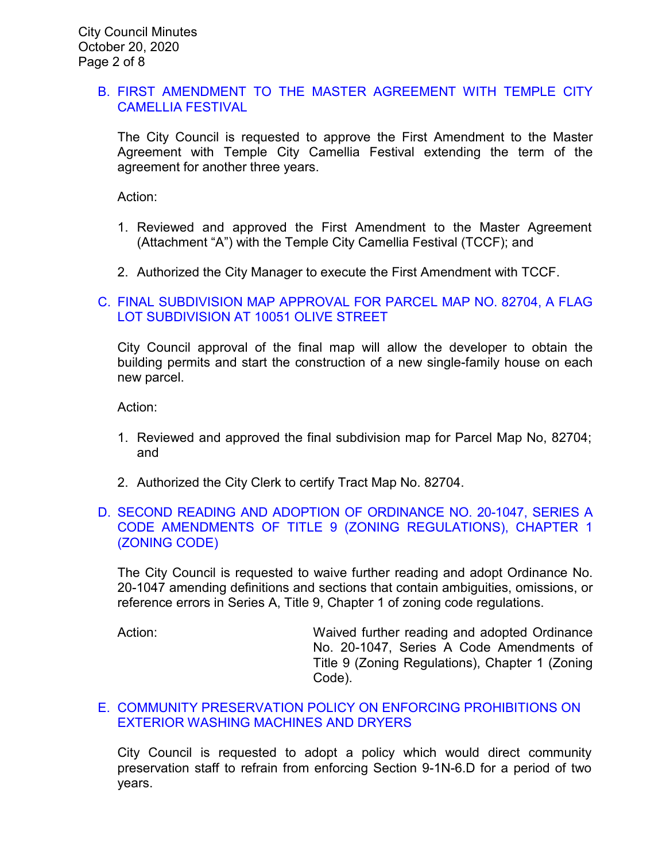# B. [FIRST AMENDMENT TO THE MASTER AGREEMENT WITH TEMPLE CITY](https://ca-templecity.civicplus.com/DocumentCenter/View/15211/04-7B_Camellia-Festival-Master-Agreement-First-Amendment_2020-10-20_Staff-Report---Final)  [CAMELLIA FESTIVAL](https://ca-templecity.civicplus.com/DocumentCenter/View/15211/04-7B_Camellia-Festival-Master-Agreement-First-Amendment_2020-10-20_Staff-Report---Final)

The City Council is requested to approve the First Amendment to the Master Agreement with Temple City Camellia Festival extending the term of the agreement for another three years.

Action:

- 1. Reviewed and approved the First Amendment to the Master Agreement (Attachment "A") with the Temple City Camellia Festival (TCCF); and
- 2. Authorized the City Manager to execute the First Amendment with TCCF.

## C. [FINAL SUBDIVISION MAP APPROVAL FOR](https://ca-templecity.civicplus.com/DocumentCenter/View/15227/05-7C_Final-Map-Approval_PL-19-1850-Final-Map-10051-Olive-St-flag-lot_w-attachment) PARCEL MAP NO. 82704, A FLAG [LOT SUBDIVISION AT 10051 OLIVE STREET](https://ca-templecity.civicplus.com/DocumentCenter/View/15227/05-7C_Final-Map-Approval_PL-19-1850-Final-Map-10051-Olive-St-flag-lot_w-attachment)

City Council approval of the final map will allow the developer to obtain the building permits and start the construction of a new single-family house on each new parcel.

Action:

- 1. Reviewed and approved the final subdivision map for Parcel Map No, 82704; and
- 2. Authorized the City Clerk to certify Tract Map No. 82704.

# D. [SECOND READING AND ADOPTION OF ORDINANCE NO. 20-1047, SERIES A](https://ca-templecity.civicplus.com/DocumentCenter/View/15201/06-7D_Series-A-Ordinance_Staff-Report_2nd-Reading-sr-edits_final)  [CODE AMENDMENTS OF TITLE 9 \(ZONING REGULATIONS\), CHAPTER 1](https://ca-templecity.civicplus.com/DocumentCenter/View/15201/06-7D_Series-A-Ordinance_Staff-Report_2nd-Reading-sr-edits_final)  [\(ZONING CODE\)](https://ca-templecity.civicplus.com/DocumentCenter/View/15201/06-7D_Series-A-Ordinance_Staff-Report_2nd-Reading-sr-edits_final)

The City Council is requested to waive further reading and adopt Ordinance No. 20-1047 amending definitions and sections that contain ambiguities, omissions, or reference errors in Series A, Title 9, Chapter 1 of zoning code regulations.

Action: **Maived further reading and adopted Ordinance** Action: No. 20-1047, Series A Code Amendments of Title 9 (Zoning Regulations), Chapter 1 (Zoning Code).

## E. [COMMUNITY PRESERVATION POLICY ON ENFORCING PROHIBITIONS ON](https://ca-templecity.civicplus.com/DocumentCenter/View/15202/07-7E_Code-Compliance-for-washing-machine-and-dryer_)  EXTERIOR WASHING [MACHINES AND DRYERS](https://ca-templecity.civicplus.com/DocumentCenter/View/15202/07-7E_Code-Compliance-for-washing-machine-and-dryer_)

City Council is requested to adopt a policy which would direct community preservation staff to refrain from enforcing Section 9-1N-6.D for a period of two years.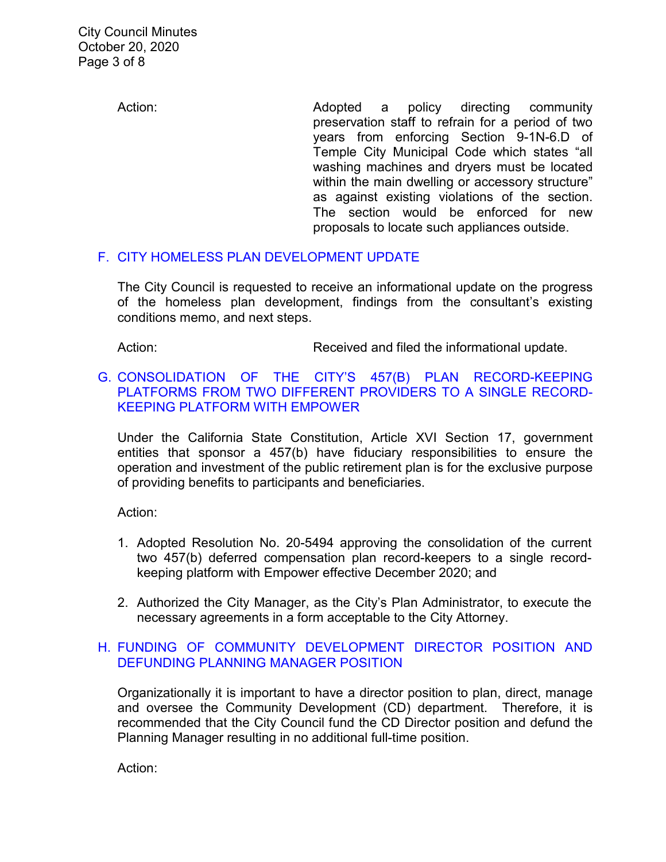City Council Minutes October 20, 2020 Page 3 of 8

> Action: **Adopted a policy directing community** preservation staff to refrain for a period of two years from enforcing Section 9-1N-6.D of Temple City Municipal Code which states "all washing machines and dryers must be located within the main dwelling or accessory structure" as against existing violations of the section. The section would be enforced for new proposals to locate such appliances outside.

#### F. [CITY HOMELESS PLAN DEVELOPMENT UPDATE](https://ca-templecity.civicplus.com/DocumentCenter/View/15203/08-7F_City-Based-Homelss-Plan_final_Staff-Report_final-with-attachments)

The City Council is requested to receive an informational update on the progress of the homeless plan development, findings from the consultant's existing conditions memo, and next steps.

Action: **Received and filed the informational update.** Action:

## G. [CONSOLIDATION OF THE CITY'S 457\(B\) PLAN RECORD-KEEPING](https://ca-templecity.civicplus.com/DocumentCenter/View/15204/09-7G_457b-Deferred-Compensation_Staff-Report_final-with-attachments)  [PLATFORMS FROM TWO DIFFERENT PROVIDERS TO A SINGLE RECORD-](https://ca-templecity.civicplus.com/DocumentCenter/View/15204/09-7G_457b-Deferred-Compensation_Staff-Report_final-with-attachments)[KEEPING PLATFORM WITH EMPOWER](https://ca-templecity.civicplus.com/DocumentCenter/View/15204/09-7G_457b-Deferred-Compensation_Staff-Report_final-with-attachments)

Under the California State Constitution, Article XVI Section 17, government entities that sponsor a 457(b) have fiduciary responsibilities to ensure the operation and investment of the public retirement plan is for the exclusive purpose of providing benefits to participants and beneficiaries.

Action:

- 1. Adopted Resolution No. 20-5494 approving the consolidation of the current two 457(b) deferred compensation plan record-keepers to a single recordkeeping platform with Empower effective December 2020; and
- 2. Authorized the City Manager, as the City's Plan Administrator, to execute the necessary agreements in a form acceptable to the City Attorney.

## H. [FUNDING OF COMMUNITY DEVELOPMENT DIRECTOR POSITION AND](https://ca-templecity.civicplus.com/DocumentCenter/View/15205/10-7H_Staff-Report-CD-Director)  [DEFUNDING PLANNING MANAGER POSITION](https://ca-templecity.civicplus.com/DocumentCenter/View/15205/10-7H_Staff-Report-CD-Director)

Organizationally it is important to have a director position to plan, direct, manage and oversee the Community Development (CD) department. Therefore, it is recommended that the City Council fund the CD Director position and defund the Planning Manager resulting in no additional full-time position.

Action: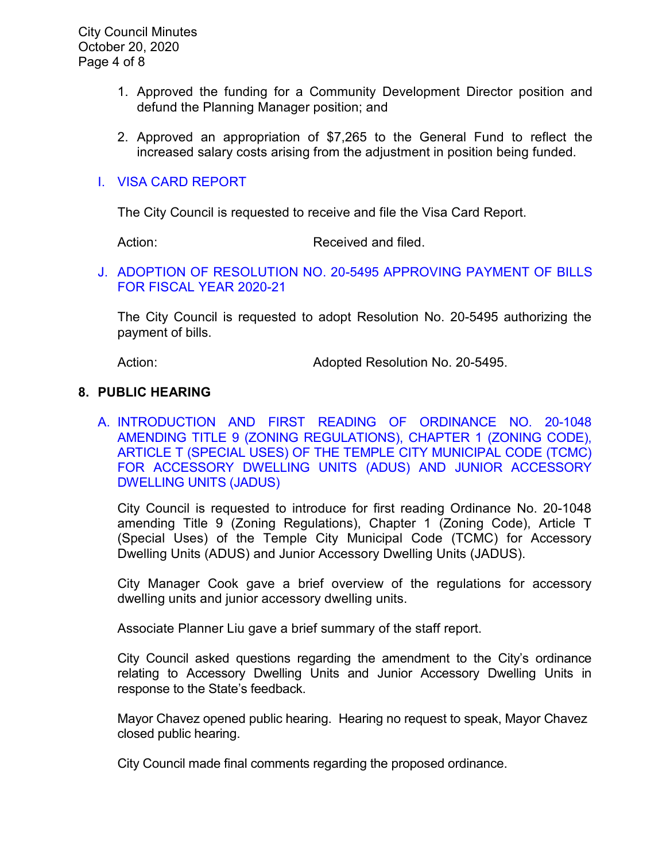City Council Minutes October 20, 2020 Page 4 of 8

- 1. Approved the funding for a Community Development Director position and defund the Planning Manager position; and
- 2. Approved an appropriation of \$7,265 to the General Fund to reflect the increased salary costs arising from the adjustment in position being funded.

#### I. [VISA CARD REPORT](https://ca-templecity.civicplus.com/DocumentCenter/View/15206/11-7I_Visa-Card-Report_Staff-Report-w-attachments)

The City Council is requested to receive and file the Visa Card Report.

Action: Received and filed.

#### J. [ADOPTION OF RESOLUTION NO. 20-5495](https://ca-templecity.civicplus.com/DocumentCenter/View/15206/11-7I_Visa-Card-Report_Staff-Report-w-attachments) APPROVING PAYMENT OF BILLS [FOR FISCAL YEAR 2020-21](https://ca-templecity.civicplus.com/DocumentCenter/View/15206/11-7I_Visa-Card-Report_Staff-Report-w-attachments)

The City Council is requested to adopt Resolution No. 20-5495 authorizing the payment of bills.

Action: Mathematic Mediated Resolution No. 20-5495.

#### **8. PUBLIC HEARING**

A. [INTRODUCTION AND FIRST READING OF ORDINANCE NO. 20-1048](https://ca-templecity.civicplus.com/DocumentCenter/View/15207/12-8A_ADU-and-JADU_Staff-Report_final-with-attachments)  [AMENDING TITLE 9 \(ZONING REGULATIONS\), CHAPTER 1 \(ZONING CODE\),](https://ca-templecity.civicplus.com/DocumentCenter/View/15207/12-8A_ADU-and-JADU_Staff-Report_final-with-attachments)  [ARTICLE T \(SPECIAL USES\) OF THE TEMPLE CITY MUNICIPAL CODE \(TCMC\)](https://ca-templecity.civicplus.com/DocumentCenter/View/15207/12-8A_ADU-and-JADU_Staff-Report_final-with-attachments)  [FOR ACCESSORY DWELLING UNITS \(ADUS\) AND JUNIOR ACCESSORY](https://ca-templecity.civicplus.com/DocumentCenter/View/15207/12-8A_ADU-and-JADU_Staff-Report_final-with-attachments)  [DWELLING UNITS \(JADUS\)](https://ca-templecity.civicplus.com/DocumentCenter/View/15207/12-8A_ADU-and-JADU_Staff-Report_final-with-attachments)

City Council is requested to introduce for first reading Ordinance No. 20-1048 amending Title 9 (Zoning Regulations), Chapter 1 (Zoning Code), Article T (Special Uses) of the Temple City Municipal Code (TCMC) for Accessory Dwelling Units (ADUS) and Junior Accessory Dwelling Units (JADUS).

City Manager Cook gave a brief overview of the regulations for accessory dwelling units and junior accessory dwelling units.

Associate Planner Liu gave a brief summary of the staff report.

City Council asked questions regarding the amendment to the City's ordinance relating to Accessory Dwelling Units and Junior Accessory Dwelling Units in response to the State's feedback.

Mayor Chavez opened public hearing. Hearing no request to speak, Mayor Chavez closed public hearing.

City Council made final comments regarding the proposed ordinance.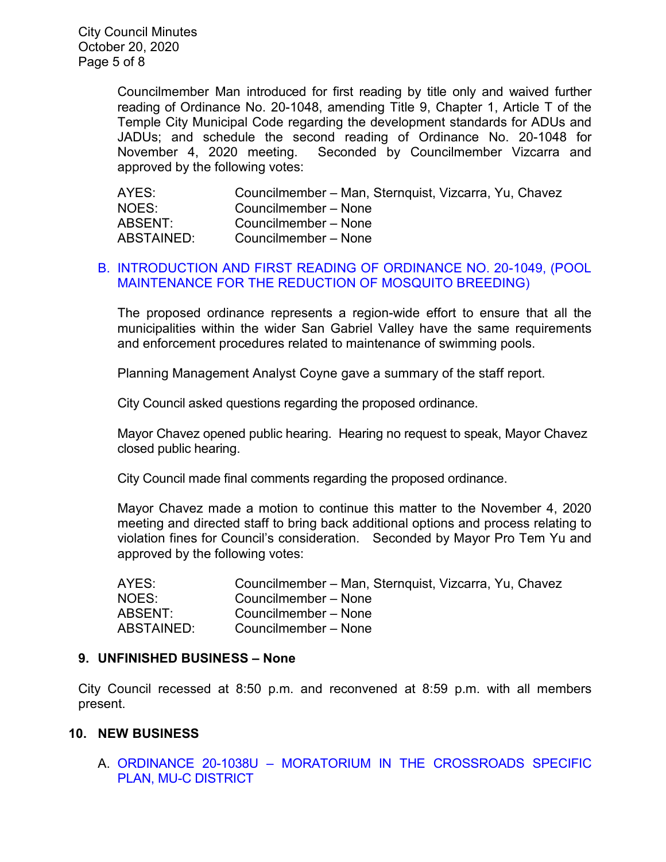City Council Minutes October 20, 2020 Page 5 of 8

> Councilmember Man introduced for first reading by title only and waived further reading of Ordinance No. 20-1048, amending Title 9, Chapter 1, Article T of the Temple City Municipal Code regarding the development standards for ADUs and JADUs; and schedule the second reading of Ordinance No. 20-1048 for November 4, 2020 meeting. Seconded by Councilmember Vizcarra and approved by the following votes:

| AYES:      | Councilmember – Man, Sternquist, Vizcarra, Yu, Chavez |
|------------|-------------------------------------------------------|
| NOES:      | Councilmember - None                                  |
| ABSENT:    | Councilmember - None                                  |
| ABSTAINED: | Councilmember – None                                  |

#### B. [INTRODUCTION AND FIRST READING OF ORDINANCE NO. 20-1049, \(POOL](https://ca-templecity.civicplus.com/DocumentCenter/View/15208/13-8B_Ordinance-20-1049-Pool-Maintenance-for-the-Reduction-of-Mosquito-Breeding_Staff-Report_final-with-attachment)  [MAINTENANCE FOR THE REDUCTION OF MOSQUITO BREEDING\)](https://ca-templecity.civicplus.com/DocumentCenter/View/15208/13-8B_Ordinance-20-1049-Pool-Maintenance-for-the-Reduction-of-Mosquito-Breeding_Staff-Report_final-with-attachment)

The proposed ordinance represents a region-wide effort to ensure that all the municipalities within the wider San Gabriel Valley have the same requirements and enforcement procedures related to maintenance of swimming pools.

Planning Management Analyst Coyne gave a summary of the staff report.

City Council asked questions regarding the proposed ordinance.

Mayor Chavez opened public hearing. Hearing no request to speak, Mayor Chavez closed public hearing.

City Council made final comments regarding the proposed ordinance.

Mayor Chavez made a motion to continue this matter to the November 4, 2020 meeting and directed staff to bring back additional options and process relating to violation fines for Council's consideration. Seconded by Mayor Pro Tem Yu and approved by the following votes:

| AYES:      | Councilmember - Man, Sternquist, Vizcarra, Yu, Chavez |
|------------|-------------------------------------------------------|
| NOES:      | Councilmember – None                                  |
| ABSENT:    | Councilmember - None                                  |
| ABSTAINED: | Councilmember - None                                  |

#### **9. UNFINISHED BUSINESS – None**

City Council recessed at 8:50 p.m. and reconvened at 8:59 p.m. with all members present.

#### **10. NEW BUSINESS**

A. ORDINANCE 20-1038U – [MORATORIUM IN THE CROSSROADS SPECIFIC](https://ca-templecity.civicplus.com/DocumentCenter/View/15209/14-10A_Ordinance-20-1038U-Moratorium-in-the-Crossroads-Specific-Plan_Staff-Report_final-Greg-review)  [PLAN, MU-C DISTRICT](https://ca-templecity.civicplus.com/DocumentCenter/View/15209/14-10A_Ordinance-20-1038U-Moratorium-in-the-Crossroads-Specific-Plan_Staff-Report_final-Greg-review)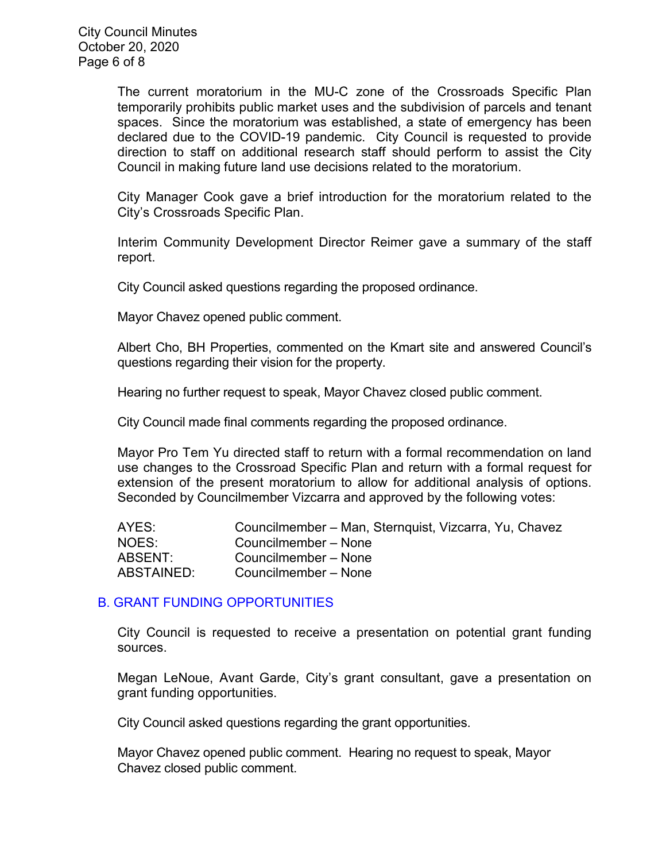City Council Minutes October 20, 2020 Page 6 of 8

> The current moratorium in the MU-C zone of the Crossroads Specific Plan temporarily prohibits public market uses and the subdivision of parcels and tenant spaces. Since the moratorium was established, a state of emergency has been declared due to the COVID-19 pandemic. City Council is requested to provide direction to staff on additional research staff should perform to assist the City Council in making future land use decisions related to the moratorium.

> City Manager Cook gave a brief introduction for the moratorium related to the City's Crossroads Specific Plan.

> Interim Community Development Director Reimer gave a summary of the staff report.

City Council asked questions regarding the proposed ordinance.

Mayor Chavez opened public comment.

Albert Cho, BH Properties, commented on the Kmart site and answered Council's questions regarding their vision for the property.

Hearing no further request to speak, Mayor Chavez closed public comment.

City Council made final comments regarding the proposed ordinance.

Mayor Pro Tem Yu directed staff to return with a formal recommendation on land use changes to the Crossroad Specific Plan and return with a formal request for extension of the present moratorium to allow for additional analysis of options. Seconded by Councilmember Vizcarra and approved by the following votes:

| AYES:      | Councilmember – Man, Sternquist, Vizcarra, Yu, Chavez |
|------------|-------------------------------------------------------|
| NOES:      | Councilmember - None                                  |
| ABSENT:    | Councilmember - None                                  |
| ABSTAINED: | Councilmember - None                                  |

#### B. [GRANT FUNDING OPPORTUNITIES](https://ca-templecity.civicplus.com/DocumentCenter/View/15225/16-10B_Grant-Funding-Opportunities_Staff-Report_final-with-attachment)

City Council is requested to receive a presentation on potential grant funding sources.

Megan LeNoue, Avant Garde, City's grant consultant, gave a presentation on grant funding opportunities.

City Council asked questions regarding the grant opportunities.

Mayor Chavez opened public comment. Hearing no request to speak, Mayor Chavez closed public comment.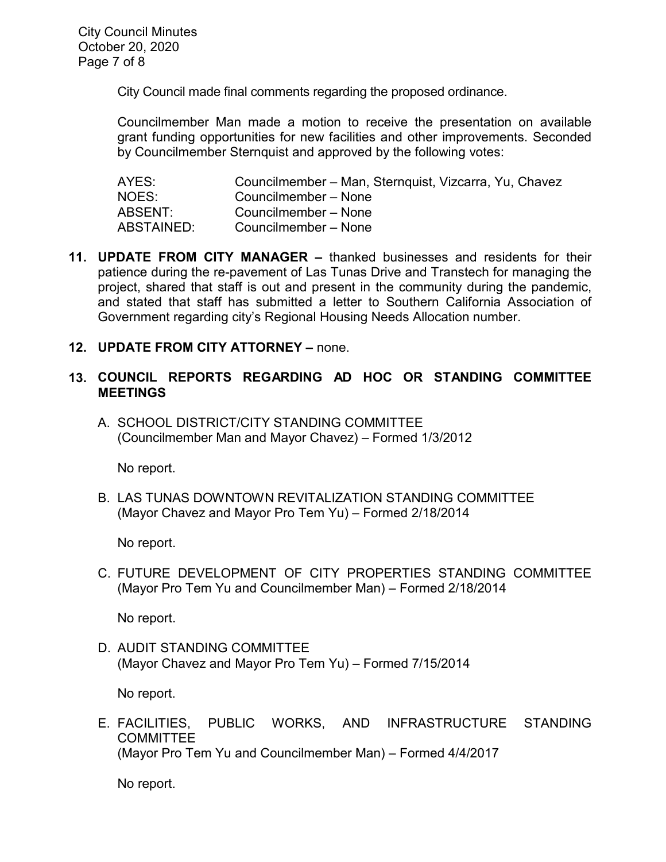City Council made final comments regarding the proposed ordinance.

Councilmember Man made a motion to receive the presentation on available grant funding opportunities for new facilities and other improvements. Seconded by Councilmember Sternquist and approved by the following votes:

| AYES:      | Councilmember – Man, Sternquist, Vizcarra, Yu, Chavez |
|------------|-------------------------------------------------------|
| NOES:      | Councilmember - None                                  |
| ABSENT:    | Councilmember - None                                  |
| ABSTAINED: | Councilmember - None                                  |

- **11. UPDATE FROM CITY MANAGER –** thanked businesses and residents for their patience during the re-pavement of Las Tunas Drive and Transtech for managing the project, shared that staff is out and present in the community during the pandemic, and stated that staff has submitted a letter to Southern California Association of Government regarding city's Regional Housing Needs Allocation number.
- **12. UPDATE FROM CITY ATTORNEY –** none.

# **13. COUNCIL REPORTS REGARDING AD HOC OR STANDING COMMITTEE MEETINGS**

A. SCHOOL DISTRICT/CITY STANDING COMMITTEE (Councilmember Man and Mayor Chavez) – Formed 1/3/2012

No report.

B. LAS TUNAS DOWNTOWN REVITALIZATION STANDING COMMITTEE (Mayor Chavez and Mayor Pro Tem Yu) – Formed 2/18/2014

No report.

C. FUTURE DEVELOPMENT OF CITY PROPERTIES STANDING COMMITTEE (Mayor Pro Tem Yu and Councilmember Man) – Formed 2/18/2014

No report.

D. AUDIT STANDING COMMITTEE (Mayor Chavez and Mayor Pro Tem Yu) – Formed 7/15/2014

No report.

E. FACILITIES, PUBLIC WORKS, AND INFRASTRUCTURE STANDING **COMMITTEE** (Mayor Pro Tem Yu and Councilmember Man) – Formed 4/4/2017

No report.